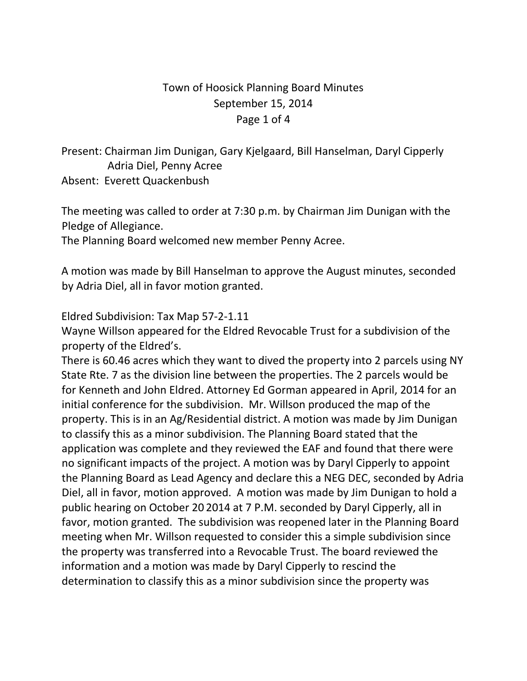## Town of Hoosick Planning Board Minutes September 15, 2014 Page 1 of 4

Present: Chairman Jim Dunigan, Gary Kjelgaard, Bill Hanselman, Daryl Cipperly Adria Diel, Penny Acree Absent: Everett Quackenbush

The meeting was called to order at 7:30 p.m. by Chairman Jim Dunigan with the Pledge of Allegiance.

The Planning Board welcomed new member Penny Acree.

A motion was made by Bill Hanselman to approve the August minutes, seconded by Adria Diel, all in favor motion granted.

Eldred Subdivision: Tax Map 57-2-1.11

Wayne Willson appeared for the Eldred Revocable Trust for a subdivision of the property of the Eldred's.

There is 60.46 acres which they want to dived the property into 2 parcels using NY State Rte. 7 as the division line between the properties. The 2 parcels would be for Kenneth and John Eldred. Attorney Ed Gorman appeared in April, 2014 for an initial conference for the subdivision. Mr. Willson produced the map of the property. This is in an Ag/Residential district. A motion was made by Jim Dunigan to classify this as a minor subdivision. The Planning Board stated that the application was complete and they reviewed the EAF and found that there were no significant impacts of the project. A motion was by Daryl Cipperly to appoint the Planning Board as Lead Agency and declare this a NEG DEC, seconded by Adria Diel, all in favor, motion approved. A motion was made by Jim Dunigan to hold a public hearing on October 20 2014 at 7 P.M. seconded by Daryl Cipperly, all in favor, motion granted. The subdivision was reopened later in the Planning Board meeting when Mr. Willson requested to consider this a simple subdivision since the property was transferred into a Revocable Trust. The board reviewed the information and a motion was made by Daryl Cipperly to rescind the determination to classify this as a minor subdivision since the property was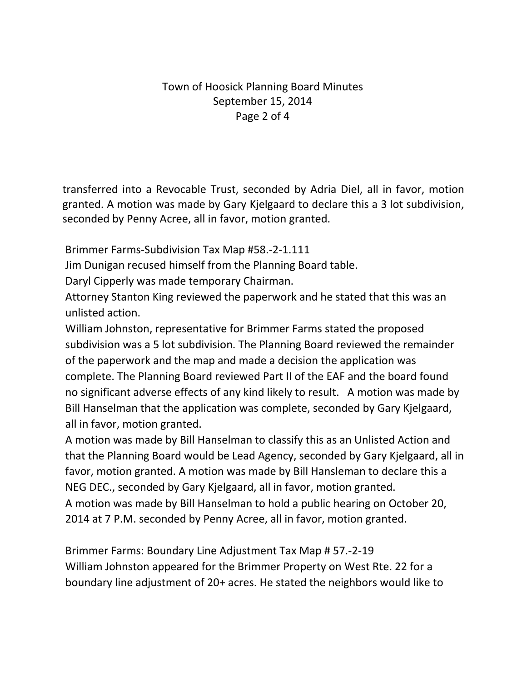### Town of Hoosick Planning Board Minutes September 15, 2014 Page 2 of 4

transferred into a Revocable Trust, seconded by Adria Diel, all in favor, motion granted. A motion was made by Gary Kjelgaard to declare this a 3 lot subdivision, seconded by Penny Acree, all in favor, motion granted.

Brimmer Farms-Subdivision Tax Map #58.-2-1.111

Jim Dunigan recused himself from the Planning Board table.

Daryl Cipperly was made temporary Chairman.

Attorney Stanton King reviewed the paperwork and he stated that this was an unlisted action.

William Johnston, representative for Brimmer Farms stated the proposed subdivision was a 5 lot subdivision. The Planning Board reviewed the remainder of the paperwork and the map and made a decision the application was complete. The Planning Board reviewed Part II of the EAF and the board found no significant adverse effects of any kind likely to result. A motion was made by Bill Hanselman that the application was complete, seconded by Gary Kjelgaard, all in favor, motion granted.

A motion was made by Bill Hanselman to classify this as an Unlisted Action and that the Planning Board would be Lead Agency, seconded by Gary Kjelgaard, all in favor, motion granted. A motion was made by Bill Hansleman to declare this a NEG DEC., seconded by Gary Kjelgaard, all in favor, motion granted. A motion was made by Bill Hanselman to hold a public hearing on October 20, 2014 at 7 P.M. seconded by Penny Acree, all in favor, motion granted.

Brimmer Farms: Boundary Line Adjustment Tax Map # 57.-2-19 William Johnston appeared for the Brimmer Property on West Rte. 22 for a boundary line adjustment of 20+ acres. He stated the neighbors would like to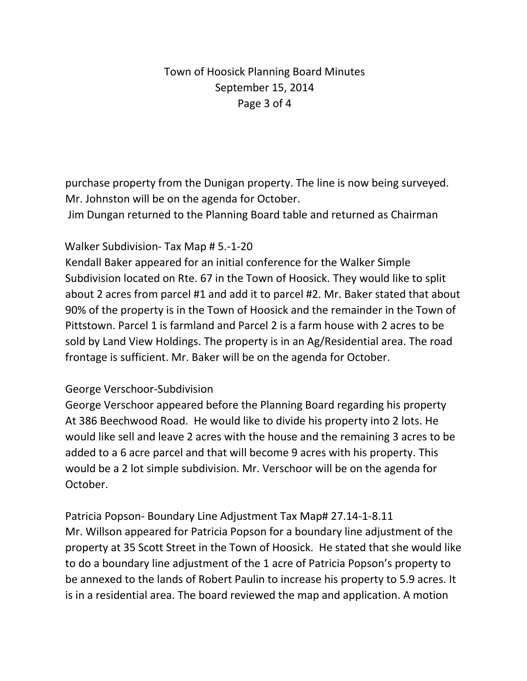# Town of Hoosick Planning Board Minutes September 15, 2014 Page 3 of 4

purchase property from the Dunigan property. The line is now being surveyed. Mr. Johnston will be on the agenda for October.

Jim Dungan returned to the Planning Board table and returned as Chairman

### Walker Subdivision- Tax Map # 5.-1-20

Kendall Baker appeared for an initial conference for the Walker Simple Subdivision located on Rte. 67 in the Town of Hoosick. They would like to split about 2 acres from parcel #1 and add it to parcel #2. Mr. Baker stated that about 90% of the property is in the Town of Hoosick and the remainder in the Town of Pittstown. Parcel 1 is farmland and Parcel 2 is a farm house with 2 acres to be sold by Land View Holdings. The property is in an Ag/Residential area. The road frontage is sufficient. Mr. Baker will be on the agenda for October.

#### George Verschoor-Subdivision

George Verschoor appeared before the Planning Board regarding his property At 386 Beechwood Road. He would like to divide his property into 2 lots. He would like sell and leave 2 acres with the house and the remaining 3 acres to be added to a 6 acre parcel and that will become 9 acres with his property. This would be a 2 lot simple subdivision. Mr. Verschoor will be on the agenda for October.

Patricia Popson- Boundary Line Adjustment Tax Map# 27.14-1-8.11 Mr. Willson appeared for Patricia Popson for a boundary line adjustment of the property at 35 Scott Street in the Town of Hoosick. He stated that she would like to do a boundary line adjustment of the 1 acre of Patricia Popson's property to be annexed to the lands of Robert Paulin to increase his property to 5.9 acres. It is in a residential area. The board reviewed the map and application. A motion